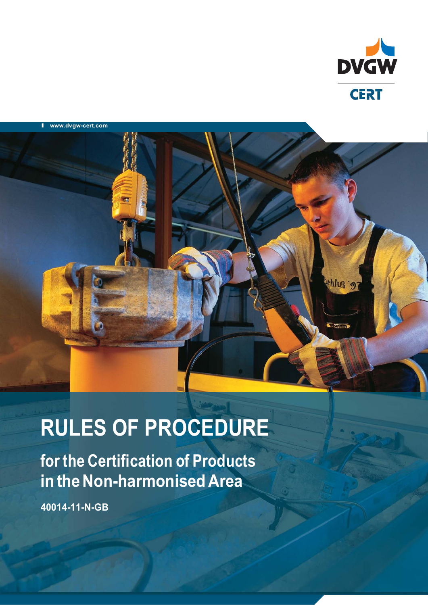



# **RULES OF PROCEDURE**

**for the Certification of Products in the Non-harmonised Area**

**40014-11-N-GB**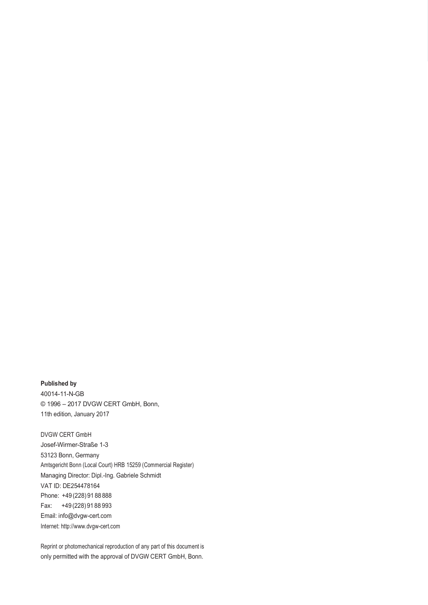**Published by** 40014-11-N-GB © 1996 – 2017 DVGW CERT GmbH, Bonn, 11th edition, January 2017

DVGW CERT GmbH Josef-Wirmer-Straße 1-3 53123 Bonn, Germany Amtsgericht Bonn (Local Court) HRB 15259 (Commercial Register) Managing Director: Dipl.-Ing. Gabriele Schmidt VAT ID: DE254478164 Phone: +49 (228) 91 88 888 Fax: +49 (228) 91 88 993 Email: info@dvgw-cert.com Internet: http://www.dvgw-cert.com

Reprint or photomechanical reproduction of any part of this document is only permitted with the approval of DVGW CERT GmbH, Bonn.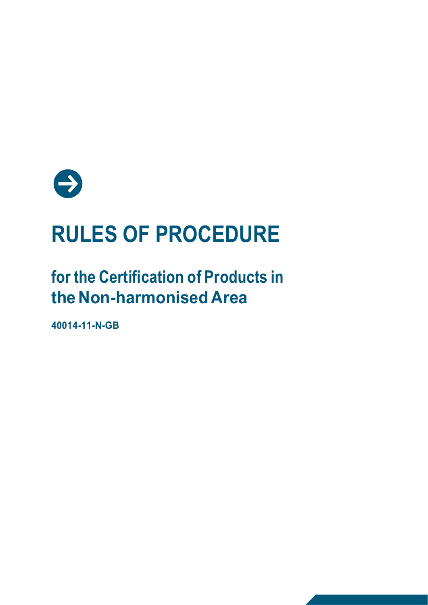

# **RULES OF PROCEDURE**

# **for the Certification of Products in the Non-harmonised Area**

**40014-11-N-GB**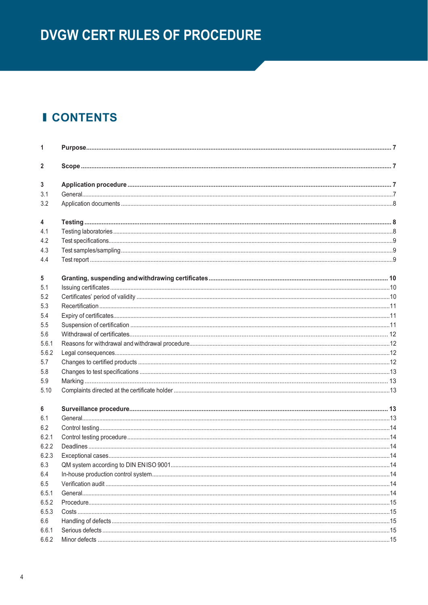# **DVGW CERT RULES OF PROCEDURE**

# **I CONTENTS**

| 1            |  |
|--------------|--|
| $\mathbf{2}$ |  |
| 3            |  |
| 3.1          |  |
| 3.2          |  |
| 4            |  |
| 4.1          |  |
| 4.2          |  |
| 4.3          |  |
| 4.4          |  |
| 5            |  |
| 5.1          |  |
| 5.2          |  |
| 5.3          |  |
| 5.4          |  |
| 5.5          |  |
| 5.6          |  |
| 5.6.1        |  |
| 5.6.2        |  |
| 5.7          |  |
| 5.8          |  |
| 5.9          |  |
| 5.10         |  |
| 6            |  |
| 6.1          |  |
| 6.2          |  |
| 6.2.1        |  |
| 6.2.2        |  |
| 6.2.3        |  |
| 6.3          |  |
| 6.4          |  |
| 6.5          |  |
| 6.5.1        |  |
| 6.5.2        |  |
| 6.5.3        |  |
| 6.6          |  |
| 6.6.1        |  |
| 6.6.2        |  |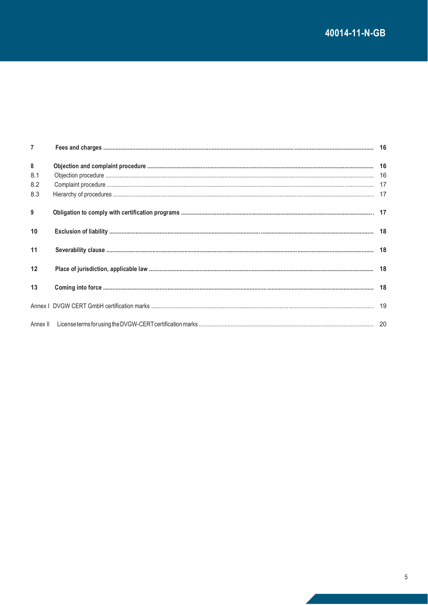| $\overline{7}$ |  |
|----------------|--|
| 8              |  |
| 8.1            |  |
| 8.2            |  |
| 8.3            |  |
| 9              |  |
| 10             |  |
| 11             |  |
| 12             |  |
| 13             |  |
|                |  |
|                |  |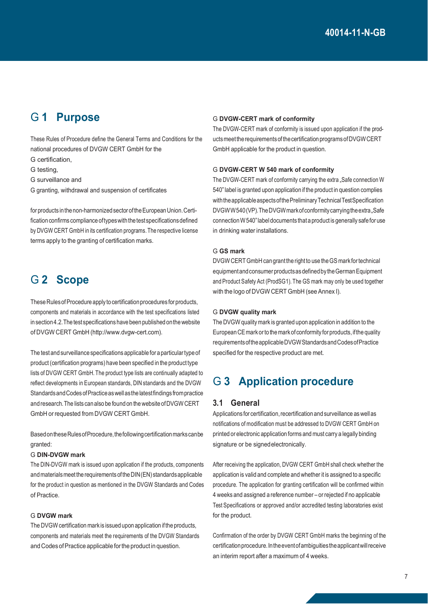### G **1 Purpose**

These Rules of Procedure define the General Terms and Conditions for the national procedures of DVGW CERT GmbH for the

- G certification,
- G testing,
- G surveillance and
- G granting, withdrawal and suspension of certificates

for products in the non-harmonized sector of the European Union. Certification confirms compliance of types with the test specifications defined by DVGW CERT GmbH in its certification programs.The respective license terms apply to the granting of certification marks.

### G **2 Scope**

These Rules of Procedure apply to certification procedures for products, components and materials in accordance with the test specifications listed in section 4.2. The test specifications have been published on the website of DVGW CERT GmbH (http://www.dvgw-cert.com).

The testand surveillance specificationsapplicable for aparticulartype of product (certification programs) have been specified in the producttype lists of DVGW CERT GmbH. The product type lists are continually adapted to reflect developments in European standards, DIN standards and the DVGW StandardsandCodesofPracticeaswellasthelatestfindings frompractice and research.The lists can also be found on the website ofDVGW CERT GmbH or requested from DVGW CERT GmbH.

Based on these Rules of Procedure, the following certification marks can be granted:

#### G **DIN-DVGW mark**

The DIN-DVGW mark is issued upon application if the products, components and materials meet the requirements of the DIN(EN) standards applicable for the product in question as mentioned in the DVGW Standards and Codes of Practice.

#### G **DVGW mark**

The DVGW certification mark is issued upon application ifthe products, components and materials meet the requirements of the DVGW Standards and Codes of Practice applicable for the product in question.

#### G **DVGW-CERT mark of conformity**

The DVGW-CERT mark of conformity is issued upon application if the productsmeetthe requirementsofthecertification programsofDVGWCERT GmbH applicable for the product in question.

#### G **DVGW-CERT W 540 mark of conformity**

The DVGW-CERT mark of conformity carrying the extra "Safe connection W 540"label is granted upon application if the product in question complies with the applicable aspects of the Preliminary Technical Test Specification DVGWW540(VP). The DVGW mark of conformity carrying the extra "Safe connection W 540" label documents that a product is generally safe for use in drinking water installations.

#### G **GS mark**

DVGW CERTGmbH can grantthe rightto use theGS mark fortechnical equipmentandconsumer productsasdefinedby theGermanEquipment and Product Safety Act (ProdSG1). The GS mark may only be used together with the logo of DVGW CERT GmbH (see Annex I).

#### G **DVGW quality mark**

The DVGW quality mark is granted upon application in addition to the European CE mark or to the mark of conformity for products, if the quality requirementsoftheapplicableDVGWStandardsandCodesofPractice specified for the respective product are met.

### G **3 Application procedure**

#### **3.1 General**

Applications for certification, recertification and surveillance as well as notifications of modification must be addressed to DVGW CERT GmbH on printed or electronic application forms and must carry a legally binding signature or be signedelectronically.

After receiving the application, DVGW CERT GmbH shall check whether the application is valid and complete and whether it is assigned to a specific procedure. The application for granting certification will be confirmed within 4 weeks and assigned a reference number – or rejected if no applicable Test Specifications or approved and/or accredited testing laboratories exist for the product.

Confirmation of the order by DVGW CERT GmbH marks the beginning of the certification procedure. In the event of ambiguities the applicant will receive an interim report after a maximum of 4 weeks.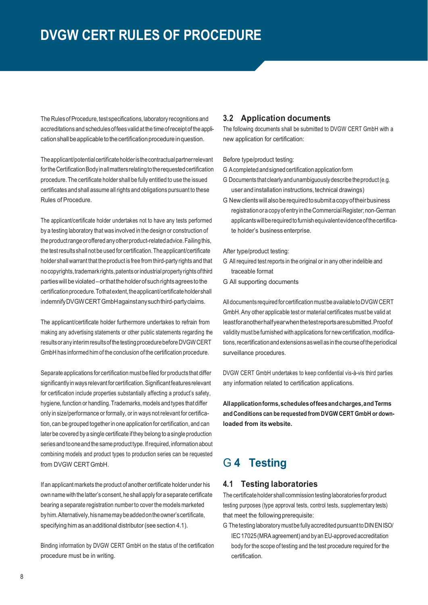The Rules of Procedure, test specifications, laboratory recognitions and accreditations and schedulesoffees valid at the timeofreceiptofthe application shall be applicable to the certification procedure in question.

The applicant/potential certificate holder is the contractual partner relevant for the Certification Body in all matters relating to the requested certification procedure.The certificate holder shall be fully entitled to use the issued certificates and shall assume allrightsand obligations pursuant to these Rules of Procedure.

The applicant/certificate holder undertakes not to have any tests performed by a testing laboratory that was involved in the design or construction of the productrangeoroffered anyotherproduct-relatedadvice.Failingthis, the testresults shallnotbeused for certification.Theapplicant/certificate holder shall warrant that the product is free from third-party rights and that no copyrights, trademark rights, patents or industrial property rights of third parties will be violated – or that the holder of such rights agrees to the certification procedure. Tothat extent, the applicant/certificate holder shall indemnifyDVGWCERTGmbHagainstanysuchthird-partyclaims.

The applicant/certificate holder furthermore undertakes to refrain from making any advertising statements or other public statements regarding the results or any interim results of the testing procedure before DVGW CERT GmbH has informed him of the conclusion ofthe certification procedure.

Separate applications for certification mustbe filed for products that differ significantlyinways relevantfor certification.Significantfeaturesrelevant for certification include properties substantially affecting a product's safety, hygiene, function or handling. Trademarks, models and types that differ only in size/performance or formally, or in ways notrelevant for certification, can be grouped together in one application for certification, and can later be covered by a single certificate ifthey belong to asingle production series and to one and the same product type. If required, information about combining models and product types to production series can be requested from DVGW CERT GmbH.

If an applicant markets the product ofanother certificate holder under his own name with the latter's consent, he shall apply for a separate certificate bearing a separate registration number to cover the models marketed byhim.Alternatively,hisnamemaybeaddedontheowner'scertificate, specifying him as an additional distributor(see section 4.1).

Binding information by DVGW CERT GmbH on the status of the certification procedure must be in writing.

#### **3.2 Application documents**

The following documents shall be submitted to DVGW CERT GmbH with a new application for certification:

#### Before type/product testing:

- G Acompleted andsigned certification application form
- G Documents that clearlyandunambiguouslydescribe theproduct(e.g. user and installation instructions, technical drawings)
- G New clients will also be required to submit a copy of their business registration or a copy of entry in the Commercial Register; non-German applicants will be required to furnish equivalent evidence of the certificate holder's business enterprise.

#### After type/product testing:

- G All required testreports in the original or in any other indelible and traceable format
- G All supporting documents

Alldocuments required for certification mustbeavailable toDVGWCERT GmbH.Any other applicable test or material certificates must be valid at leastforanotherhalfyearwhenthetestreportsaresubmitted.Proofof validity must be furnished with applications for new certification, modifications, recertification and extensions as well as in the course of the periodical surveillance procedures.

DVGW CERT GmbH undertakes to keep confidential vis-à-vis third parties any information related to certification applications.

**Allapplicationforms,schedulesoffeesandcharges,andTerms and Conditions can be requested from DVGW CERT GmbH or downloaded from its website.**

## G **4 Testing**

#### **4.1 Testing laboratories**

The certificate holder shall commission testing laboratories for product testing purposes (type approval tests, control tests, supplementary tests) that meet the following prerequisite:

G The testing laboratory must be fully accredited pursuant to DINEN ISO/ IEC 17025 (MRA agreement) and by an EU-approved accreditation body for the scope of testing and the test procedure required for the certification.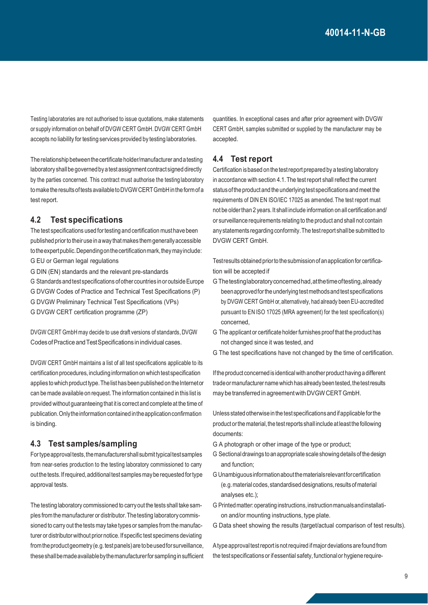Testing laboratories are not authorised to issue quotations, make statements or supply information on behalf of DVGW CERT GmbH. DVGW CERT GmbH accepts no liability for testing services provided by testing laboratories.

The relationship betweenthecertificate holder/manufacturer andatesting laboratory shall be governed by a test assignment contract signed directly by the parties concerned. This contract must authorise the testing laboratory tomake theresultsoftestsavailabletoDVGWCERTGmbHinthe formofa test report.

#### **4.2 Test specifications**

The test specifications used fortesting and certification musthave been published prior to their use inaway thatmakes them generallyaccessible to the expert public. Depending on the certification mark, they may include: G EU or German legal regulations

G DIN (EN) standards and the relevant pre-standards

G Standards and test specifications of other countries in or outside Europe

G DVGW Codes of Practice and Technical Test Specifications (P)

G DVGW Preliminary Technical Test Specifications (VPs)

G DVGW CERT certification programme (ZP)

DVGW CERT GmbH may decide to use draft versions of standards, DVGW CodesofPractice andTestSpecifications inindividual cases.

DVGW CERT GmbH maintains a list of all test specifications applicable to its certification procedures, including information onwhich test specification applies to which product type. The list has been published on the Internet or can be made available on request.The information contained in this list is provided without quaranteeing that it is correct and complete at the time of publication. Only the information contained in the application confirmation is binding.

#### **4.3 Test samples/sampling**

Fortypeapprovaltests,themanufacturershall submittypicaltestsamples from near-series production to the testing laboratory commissioned to carry out the tests. If required, additional test samples may be requested for type approval tests.

The testing laboratory commissioned to carryoutthe tests shall take samples from themanufacturer or distributor.Thetesting laboratory commissioned to carry out the tests may take typesor samples from the manufacturer or distributor without prior notice. If specific test specimens deviating from the product geometry (e.g. test panels) are to be used for surveillance, theseshallbemadeavailablebythemanufacturerfor sampling insufficient quantities. In exceptional cases and after prior agreement with DVGW CERT GmbH, samples submitted or supplied by the manufacturer may be accepted.

#### **4.4 Test report**

Certification is based on the test report prepared by a testing laboratory in accordance with section 4.1.The testreport shall reflect the current status of the product and the underlying test specifications and meet the requirements of DIN EN ISO/IEC 17025 as amended. The test report must not be olderthan 2 years.It shall include information on all certification and/ or surveillance requirements relating to the product and shall not contain any statements regarding conformity.The testreport shallbe submitted to DVGW CERT GmbH.

Test results obtained prior to the submission of an application for certification will be accepted if

- G Thetestinglaboratoryconcernedhad,atthetimeoftesting,already beenapprovedforthe underlying testmethodsand test specifications by DVGW CERT GmbH or,alternatively, had already beenEU-accredited pursuant to EN ISO 17025 (MRA agreement) for the test specification(s) concerned,
- G The applicant or certificate holder furnishes proof that the product has not changed since it was tested, and
- G The test specifications have not changed by the time of certification.

Ifthe product concerned is identicalwith another producthaving adifferent trade or manufacturer name which has already been tested, the test results may be transferred in agreementwith DVGWCERT GmbH.

Unless stated otherwise inthe test specificationsand ifapplicable forthe product or the material, the test reports shall include at least the following documents:

- G A photograph or other image of the type or product;
- G Sectionaldrawings toanappropriate scale showing detailsof the design and function;
- G Unambiguousinformationaboutthematerialsrelevantforcertification (e.g.material codes,standardised designations,resultsofmaterial analyses etc.);
- G Printedmatter:operating instructions,instructionmanualsandinstallation and/or mounting instructions, type plate.
- G Data sheet showing the results (target/actual comparison of test results).

Atype approval test report is not required if major deviations are found from the test specifications or if essential safety, functional or hygiene require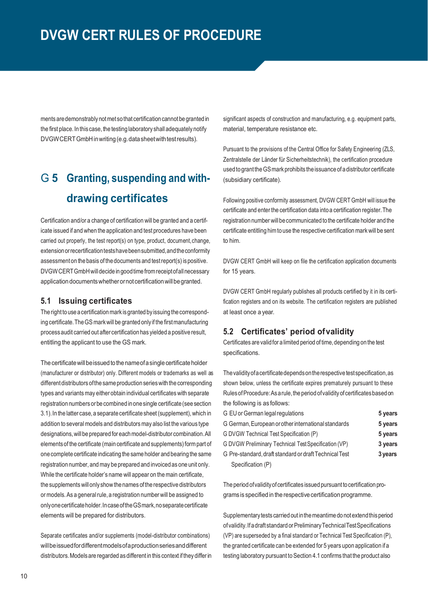ments are demonstrably not met so that certification cannot be granted in the first place. In this case, the testing laboratory shall adequately notify DVGWCERT GmbH in writing (e.g. data sheet with test results).

# G **5 Granting, suspending and withdrawing certificates**

Certification and/or a change of certification will be granted and a certificate issued if and when the application and test procedures have been carried out properly, the test report(s) on type, product, document,change, extension or recertification tests have been submitted, and the conformity assessment on the basis ofthedocuments and testreport(s) ispositive. DVGWCERTGmbHwilldecide ingoodtimefromreceiptofallnecessary application documents whether or not certification will be granted.

#### **5.1 Issuing certificates**

The right to use a certification mark is granted by issuing the corresponding certificate.TheGS markwill be granted only if the firstmanufacturing processaudit carried out after certification has yielded a positive result, entitling the applicant to use the GS mark.

The certificate will be issued to the name of a single certificate holder (manufacturer or distributor) only. Different models or trademarks as well as different distributors of the same production series with the corresponding types and variants may either obtain individual certificates with separate registration numbersor becombined inone single certificate (see section 3.1). In the latter case, a separate certificate sheet (supplement), which in addition to several models and distributors may also list the various type designations,willbe prepared for each model-distributor combination.All elementsof the certificate (main certificate and supplements) form part of one complete certificate indicating the sameholder andbearing the same registration number, and may be prepared and invoiced as one unit only. While the certificate holder's name will appear on the main certificate, the supplements willonly show thenames ofthe respective distributors or models. As a general rule, a registration number will be assigned to onlyonecertificateholder.IncaseoftheGSmark,noseparatecertificate elements will be prepared for distributors.

Separate certificates and/or supplements (model-distributor combinations) willbeissuedfordifferentmodelsofaproductionseriesanddifferent distributors.Modelsare regarded asdifferentin this context iftheydifferin significant aspects of construction and manufacturing, e.g. equipment parts, material, temperature resistance etc.

Pursuant to the provisions of the Central Office for Safety Engineering (ZLS, Zentralstelle der Länder für Sicherheitstechnik), the certification procedure used togranttheGSmarkprohibits theissuance ofadistributor certificate (subsidiary certificate).

Following positive conformity assessment, DVGW CERT GmbH will issue the certificate and enter the certification data intoa certification register.The registration number willbe communicated tothe certificate holder and the certificate entitling him touse the respective certification mark will be sent to him.

DVGW CERT GmbH will keep on file the certification application documents for 15 years.

DVGW CERT GmbH regularly publishes all products certified by it in its certification registers and on its website. The certification registers are published at least once a year.

#### **5.2 Certificates' period ofvalidity**

Certificates are valid for a limited period of time, depending on the test specifications.

Thevalidityofacertificatedependsontherespective testspecification,as shown below, unless the certificate expires prematurely pursuant to these RulesofProcedure:Asarule,theperiod ofvalidityof certificatesbasedon the following is as follows:

| G EU or German legal regulations                       | 5 years |
|--------------------------------------------------------|---------|
| G German, European or other international standards    | 5 years |
| G DVGW Technical Test Specification (P)                | 5 years |
| G DVGW Preliminary Technical Test Specification (VP)   | 3 years |
| G Pre-standard, draft standard or draft Technical Test | 3 years |
| Specification (P)                                      |         |

The period of validity of certificates issued pursuant to certification programs is specified in the respective certification programme.

Supplementary tests carried outinthemeantime donotextendthisperiod of validity.Ifadraft standard orPreliminaryTechnicalTestSpecifications (VP) are superseded by a final standard or Technical Test Specification (P), the granted certificate can be extended for 5 years upon application if a testing laboratory pursuant to Section 4.1 confirms thatthe product also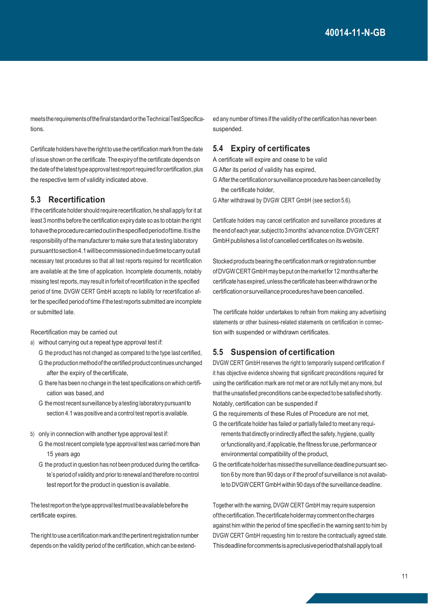meetstherequirementsofthefinalstandardortheTechnicalTestSpecifications.

Certificate holders have the right to use the certification mark from the date of issue shown on the certificate.The expiryof the certificate depends on the date of the latest type approval test report required for certification, plus the respective term of validity indicated above.

#### **5.3 Recertification**

If the certificate holder should require recertification, he shall apply for it at least 3 months before the certification expirydate so as to obtain the right tohavetheprocedurecarriedoutinthespecifiedperiodoftime.Itisthe responsibility of the manufacturer to make sure that a testing laboratory pursuanttosection4.1willbecommissionedinduetimetocarryoutall necessary test procedures so that all test reports required for recertification are available at the time of application. Incomplete documents, notably missing test reports, may result in forfeit ofrecertification in the specified period of time. DVGW CERT GmbH accepts no liability for recertification after the specified period of time if the test reports submitted are incomplete or submitted late.

Recertification may be carried out

- a) without carrying out a repeat type approval test if:
	- G the product has not changed as compared to the type last certified,
	- G the production methodofthe certified product continuesunchanged after the expiry of thecertificate,
	- G there has been no change in the test specifications on which certification was based, and
	- G themostrecent surveillance by atesting laboratorypursuant to section 4.1 was positive and a control testreport is available.
- b) only in connection with another type approval test if:
	- G the mostrecent complete type approval test was carried more than 15 years ago
	- G the product in question has not been produced during the certificate's period of validity and prior to renewaland therefore no control test report for the product in question is available.

The test report on the type approval test must be available before the certificate expires.

The right to use a certification mark and the pertinent registration number depends on the validity period of the certification, which can be extended any number of times if the validityof the certification has never been suspended.

#### **5.4 Expiry of certificates**

A certificate will expire and cease to be valid

- G After its period of validity has expired,
- G After the certification or surveillance procedure has been cancelled by the certificate holder,
- G After withdrawal by DVGW CERT GmbH (see section 5.6).

Certificate holders may cancel certification and surveillance procedures at the end of each year, subject to 3 months' advance notice. DVGW CERT GmbH publishes a listof cancelled certificates on its website.

Stocked products bearing the certification mark or registration number ofDVGWCERTGmbHmaybeputonthemarketfor 12monthsafterthe certificate has expired, unless the certificate has been withdrawn or the certification or surveillance procedures have been cancelled.

The certificate holder undertakes to refrain from making any advertising statements or other business-related statements on certification in connection with suspended or withdrawn certificates.

#### **5.5 Suspension of certification**

DVGW CERT GmbH reserves the right to temporarily suspend certification if it has objective evidence showing that significant preconditions required for using the certification mark are not met or are not fully met any more, but that the unsatisfied preconditions can be expected to be satisfied shortly. Notably, certification can be suspended if

G the requirements of these Rules of Procedure are not met,

- G the certificate holder has failed or partially failed to meet any requirements that directly or indirectly affect the safety, hygiene, quality or functionality and, if applicable, the fitness for use, performance or environmental compatibility of the product,
- G the certificate holder has missed the surveillance deadline pursuant section 6 by more than 90 days or if the proof of surveillance is not available to DVGW CERT GmbH within 90 days of the surveillance deadline.

Together with the warning, DVGW CERT GmbH may require suspension ofthecertification.Thecertificateholdermaycommentonthecharges against him within the period of time specified in the warning sent to him by DVGW CERT GmbH requesting him to restore the contractually agreed state. Thisdeadlineforcommentsisapreclusiveperiodthatshallapplytoall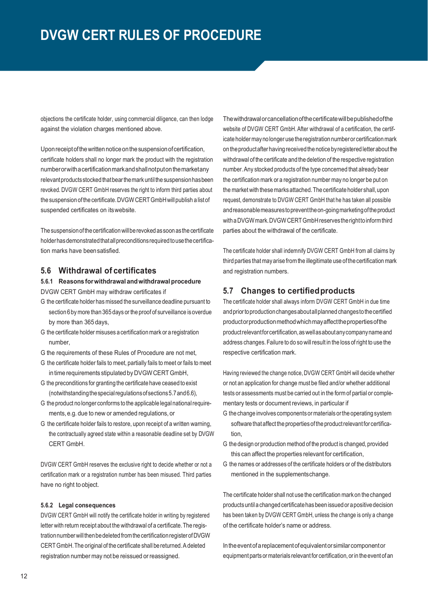objections the certificate holder, using commercial diligence, can then lodge against the violation charges mentioned above.

Uponreceiptofthewrittennoticeonthesuspensionofcertification, certificate holders shall no longer mark the product with the registration numberorwithacertificationmarkandshallnotputonthemarketany relevant products stocked that bear the mark until the suspension has been revoked. DVGW CERT GmbH reserves the right to inform third parties about the suspension of the certificate. DVGW CERT GmbH will publish a list of suspended certificates on itswebsite.

The suspensionofthe certificationwillbe revoked assoon asthe certificate holderhasdemonstratedthatallpreconditionsrequiredtousethecertification marks have beensatisfied.

#### **5.6 Withdrawal of certificates**

#### **5.6.1 Reasons forwithdrawal andwithdrawalprocedure** DVGW CERT GmbH may withdraw certificates if

- G the certificate holder has missed the surveillance deadline pursuant to section 6by more than 365 days or the proof of surveillance isoverdue by more than 365 days,
- G the certificate holder misuses acertification mark or aregistration number,
- G the requirements of these Rules of Procedure are not met,
- G the certificate holder fails to meet, partially fails to meet or fails to meet in time requirements stipulated by DVGW CERT GmbH,
- G the preconditions for granting the certificate have ceased toexist (notwithstandingthespecialregulationsofsections5.7and6.6),
- G the product nolonger conforms tothe applicable legalnationalrequirements,e.g. due to new or amended regulations, or
- G the certificate holder fails to restore, upon receipt of a written warning, the contractually agreed state within a reasonable deadline set by DVGW CERT GmbH.

DVGW CERT GmbH reserves the exclusive right to decide whether or not a certification mark or a registration number has been misused. Third parties have no right to object.

#### **5.6.2 Legal consequences**

DVGW CERT GmbH will notify the certificate holder in writing by registered letter with return receipt about the withdrawal of a certificate.The registration number will then be deleted from the certification register of DVGW CERTGmbH.The original of the certificate shall bereturned.Adeleted registration number may not be reissued or reassigned.

Thewithdrawalorcancellationofthecertificatewillbepublishedofthe website of DVGW CERT GmbH. After withdrawal of a certification, the certificate holder maynolonger use theregistration numberor certification mark on theproductafter having received the notice byregistered letter aboutthe withdrawal of the certificate and the deletion of the respective registration number.Any stocked products of the type concerned that already bear the certification mark or a registration number may no longer be put on the market with these marks attached. The certificate holder shall, upon request, demonstrate to DVGW CERT GmbH that he has taken all possible andreasonablemeasurestopreventtheon-goingmarketingoftheproduct with a DVGW mark. DVGW CERT GmbH reserves the right to inform third parties about the withdrawal of the certificate.

The certificate holder shall indemnify DVGW CERT GmbH from all claims by third parties that mayarise from the illegitimate use ofthe certification mark and registration numbers.

#### **5.7 Changes to certifiedproducts**

The certificate holder shall always inform DVGW CERT GmbH in due time and prior to production changes about all planned changes to the certified productorproductionmethodwhichmayaffectthepropertiesofthe productrelevantforcertification,aswellasaboutanycompanynameand address changes.Failure to do so willresult in the loss ofright to use the respective certification mark.

Having reviewed the change notice, DVGW CERT GmbH will decide whether or not an application for change must be filed and/or whether additional tests or assessments must be carried out in the form of partial or complementary tests or document reviews, in particular if

- G thechange involves componentsor materialsortheoperating system software that affect the properties of the product relevant for certification,
- G the design or production method of the product is changed, provided this can affect the properties relevant for certification,
- G the names or addresses of the certificate holders or of the distributors mentioned in the supplementschange.

The certificate holder shall not use the certification markon the changed productsuntilachanged certificatehasbeen issuedor apositive decision has been taken by DVGW CERT GmbH, unless the change is only a change of the certificate holder's name or address.

Intheeventofareplacementofequivalentorsimilarcomponentor equipment parts or materials relevant for certification, or in the event of an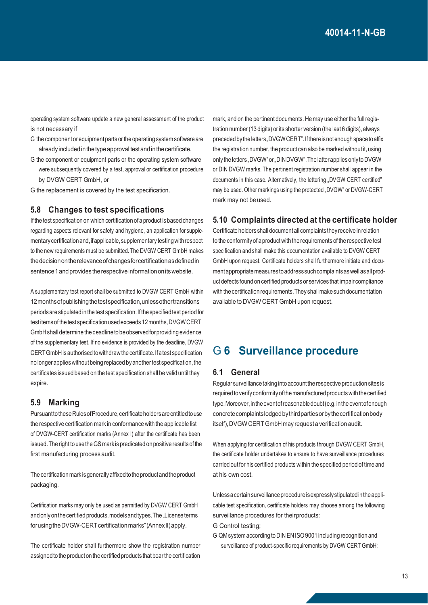operating system software update a new general assessment of the product is not necessary if

- G the componentor equipmentparts or the operating system software are already included in the type approval test and in the certificate,
- G the component or equipment parts or the operating system software were subsequently covered by a test, approval or certification procedure by DVGW CERT GmbH, or
- G the replacement is covered by the test specification.

#### **5.8 Changes to test specifications**

If the test specification on which certification ofa product isbased changes regarding aspects relevant for safety and hygiene, an application for supplementarycertificationand,ifapplicable,supplementary testingwithrespect to the new requirements must be submitted. The DVGW CERT GmbH makes thedecisionontherelevanceofchangesforcertificationasdefinedin sentence 1 and provides the respective information on its website.

A supplementary test report shall be submitted to DVGW CERT GmbH within 12monthsofpublishingthetestspecification,unlessothertransitions periods are stipulated in the test specification. If the specified test period for testitemsofthe test specification usedexceeds12months,DVGWCERT GmbHshalldetermine thedeadline tobeobservedforproviding evidence of the supplementary test. If no evidence is provided by the deadline, DVGW CERTGmbHisauthorised towithdrawthecertificate.Ifatest specification no longer applieswithoutbeing replaced byanothertest specification,the certificates issued based on the test specification shall be valid until they expire.

#### **5.9 Marking**

Pursuant to these Rules of Procedure, certificate holders are entitled to use the respective certification mark in conformance with the applicable list of DVGW-CERT certification marks (Annex I) after the certificate has been issued. The right to use the GS mark is predicated on positive results of the first manufacturing process audit.

The certification mark isgenerallyaffixedtotheproductandtheproduct packaging.

Certification marks may only be used as permitted by DVGW CERT GmbH and only on the certified products, models and types. The "License terms for using the DVGW-CERT certification marks" (Annex II) apply.

The certificate holder shall furthermore show the registration number assigned to the product on the certified products that bear the certification mark, and on the pertinent documents. He may use either the full registration number (13 digits) or its shorter version (the last 6 digits), always preceded by the letters, DVGW CERT". If there is not enough space to affix the registration number, the product can also be marked without it, using only the letters. DVGW" or ..DINDVGW". The latter applies only to DVGW or DIN DVGW marks. The pertinent registration number shall appear in the documents in this case. Alternatively, the lettering "DVGW CERT certified" may be used. Other markings using the protected "DVGW" or DVGW-CERT mark may not be used.

#### **5.10 Complaints directed at the certificate holder**

Certificate holders shalldocumentall complaints they receive inrelation to the conformityof aproduct with the requirements of the respective test specification and shall make this documentation available to DVGW CERT GmbH upon request. Certificate holders shall furthermore initiate and document appropriate measures to address such complaints as well as all product defects found on certified products or services that impair compliance with the certification requirements. They shall make such documentation available to DVGW CERT GmbH upon request.

### G **6 Surveillance procedure**

#### **6.1 General**

Regular surveillance taking into accountthe respective production sites is required to verify conformity of the manufactured products with the certified type.Moreover,intheeventofreasonabledoubt(e.g.intheeventofenough concretecomplaintslodgedbythirdpartiesorbythecertificationbody itself),DVGWCERT GmbH may requesta verification audit.

When applying for certification of his products through DVGW CERT GmbH, the certificate holder undertakes to ensure to have surveillance procedures carried outfor his certified products within the specified period of time and at his own cost.

Unless a certain surveillance procedure is expressly stipulated in the applicable test specification, certificate holders may choose among the following surveillance procedures for theirproducts: G Control testing;

G QMsystemaccording toDIN ENISO9001 including recognition and surveillance of product-specific requirements by DVGW CERT GmbH;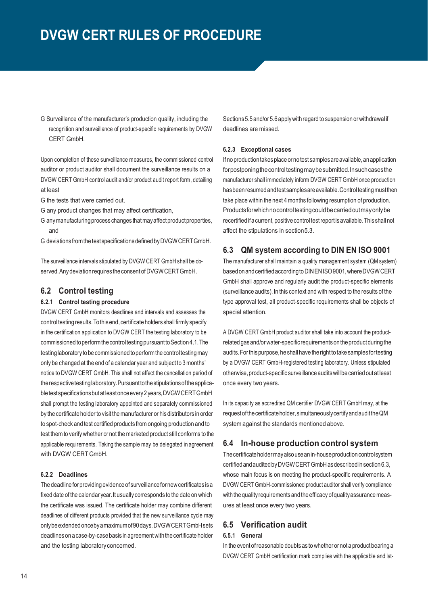G Surveillance of the manufacturer's production quality, including the recognition and surveillance of product-specific requirements by DVGW CERT GmbH.

Upon completion of these surveillance measures, the commissioned control auditor or product auditor shall document the surveillance results on a DVGW CERT GmbH control audit and/or product audit report form, detailing at least

- G the tests that were carried out,
- G any product changes that may affect certification,
- G any manufacturing process changes that may affect product properties, and
- G deviations fromthe test specifications defined byDVGWCERTGmbH.

The surveillance intervals stipulated by DVGW CERT GmbH shall be observed. Any deviation requires the consent of DVGW CERT GmbH.

#### **6.2 Control testing**

#### **6.2.1 Control testing procedure**

DVGW CERT GmbH monitors deadlines and intervals and assesses the control testing results. To this end, certificate holders shall firmly specify in the certification application to DVGW CERT the testing laboratory to be commissioned toperformthecontroltestingpursuanttoSection4.1.The testing laboratory to be commissioned to perform the control testing may only be changed at the end of a calendar year and subject to 3 months' notice to DVGW CERT GmbH. This shall not affect the cancellation period of the respective testing laboratory. Pursuant to the stipulations of the applicable test specifications but at least once every 2 years, DVGW CERT GmbH shall prompt the testing laboratory appointed and separately commissioned by thecertificate holder to visit the manufacturer or hisdistributors in order to spot-check and test certified products from ongoing production and to test them to verify whether or not the marketed product still conforms to the applicable requirements. Taking the sample may be delegated in agreement with DVGW CERT GmbH.

#### **6.2.2 Deadlines**

The deadline for providing evidence of surveillance fornewcertificates isa fixed date of the calendar year.It usually corresponds to the date on which the certificate was issued. The certificate holder may combine different deadlines of different products provided that the new surveillance cycle may onlybeextendedoncebyamaximumof90days.DVGWCERTGmbHsets deadlines on a case-by-case basis in agreement with the certificate holder and the testing laboratoryconcerned.

Sections 5.5 and/or 5.6 apply with regard to suspension or withdrawal if deadlines are missed.

#### **6.2.3 Exceptional cases**

Ifnoproductiontakesplace ornotest samplesareavailable,an application forpostponingthecontroltestingmaybesubmitted.Insuchcasesthe manufacturer shall immediately inform DVGW CERT GmbH once production hasbeenresumedandtestsamplesareavailable.Controltestingmustthen take place within the next 4 months following resumption of production. Productsforwhichnocontroltestingcouldbecarriedoutmayonlybe recertified if a current, positive control test report is available. This shall not affect the stipulations in section5.3.

#### **6.3 QM system according to DIN EN ISO 9001**

The manufacturer shall maintain a quality management system (QM system) based on and certified according to DINEN ISO 9001, where DVGW CERT GmbH shall approve and regularly audit the product-specific elements (surveillance audits). In this context and with respect to the results of the type approval test, all product-specific requirements shall be objects of special attention.

A DVGW CERT GmbH product auditor shall take into account the productrelated gasand/or water-specificrequirementsontheproductduringthe audits. For this purpose, he shall have the right to take samples for testing by a DVGW CERT GmbH-registered testing laboratory. Unless stipulated otherwise,product-specific surveillance auditswillbe carried outatleast once every two years.

In its capacity as accredited QM certifier DVGW CERT GmbH may, at the requestofthecertificateholder,simultaneouslycertifyandaudittheQM system against the standards mentioned above.

#### **6.4 In-house production control system**

The certificate holder may also use an in-house production control system certifiedandauditedbyDVGWCERTGmbHasdescribed insection6.3, whose main focus is on meeting the product-specific requirements. A DVGW CERT GmbH-commissioned product auditor shall verify compliance with thequalityrequirementsand theefficacyofqualityassurance measures at least once every two years.

#### **6.5 Verification audit**

#### **6.5.1 General**

In the event of reasonable doubts as to whether or not a product bearing a DVGW CERT GmbH certification mark complies with the applicable and lat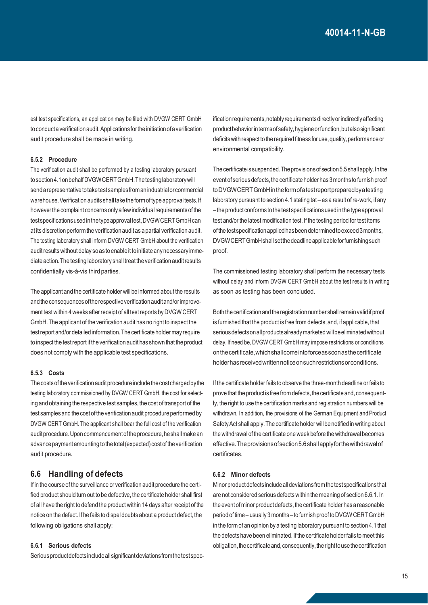est test specifications, an application may be filed with DVGW CERT GmbH toconductaverification audit.Applicationsfortheinitiation ofaverification audit procedure shall be made in writing.

#### **6.5.2 Procedure**

The verification audit shall be performed by a testing laboratory pursuant tosection4.1onbehalfDVGWCERTGmbH.Thetestinglaboratorywill sendarepresentative totaketestsamplesfromanindustrialorcommercial warehouse. Verification audits shall take the form of type approval tests. If however the complaint concerns only a few individual requirements of the testspecificationsusedinthetypeapprovaltest,DVGWCERTGmbHcan at its discretion perform the verification auditas apartial verification audit. The testing laboratory shall inform DVGW CERT GmbH about the verification audit results without delay so as to enable it to initiate any necessary immediate action.The testing laboratory shall treatthe verification auditresults confidentially vis-à-vis third parties.

The applicant and the certificate holder will be informed about the results and the consequences of the respective verification audit and/or improvement test within 4 weeks after receipt of all testreports by DVGW CERT GmbH.The applicant of the verification audit has no right to inspect the testreportand/or detailed information.The certificate holder may require to inspect the testreport ifthe verification audit has shown that the product does not comply with the applicable test specifications.

#### **6.5.3 Costs**

The costs of the verification audit procedure include the cost charged by the testing laboratory commissioned by DVGW CERT GmbH, the cost for selecting and obtaining the respective test samples, the cost of transport of the test samplesand the costofthe verification audit procedure performed by DVGW CERT GmbH. The applicant shall bear the full cost of the verification audit procedure. Upon commencement of the procedure, he shall make an advance payment amounting to the total (expected) cost of the verification audit procedure.

#### **6.6 Handling of defects**

If in the course of the surveillance or verification audit procedure the certified product should turn out to be defective, the certificate holder shall first of all have the right to defend the product within 14 days after receipt of the notice on the defect. If he fails to dispel doubts about a product defect, the following obligations shall apply:

#### **6.6.1 Serious defects**

Seriousproductdefects includeallsignificantdeviationsfromthetestspec-

ification requirements, notably requirements directly or indirectly affecting product behavior in terms of safety, hygiene or function, but also significant deficits with respect to the required fitness for use, quality, performance or environmental compatibility.

The certificate is suspended. The provisions of section 5.5 shall apply. In the event of serious defects, the certificate holder has 3 months to furnish proof toDVGWCERTGmbHintheformofatestreportpreparedbyatesting laboratory pursuant to section 4.1 stating tat – as a result ofre-work, if any – the product conforms to the test specifications used in the type approval test and/or the latest modification test. If the testing period for test items of the test specification applied has been determined to exceed 3 months, DVGWCERTGmbHshall setthedeadlineapplicableforfurnishingsuch proof.

The commissioned testing laboratory shall perform the necessary tests without delay and inform DVGW CERT GmbH about the test results in writing as soon as testing has been concluded.

Both the certification and theregistration number shallremain validifproof is furnished that the product is free from defects, and, if applicable, that serious defects on all products already marketed will be eliminated without delay. If need be, DVGW CERT GmbH may impose restrictions or conditions onthecertificate,whichshallcomeintoforceassoonasthecertificate holderhasreceivedwrittennoticeonsuchrestrictionsorconditions.

If the certificate holder fails to observe the three-month deadline or fails to prove that the product is free from defects, the certificate and, consequently, the right to use the certification marks and registration numbers will be withdrawn. In addition, the provisions of the German Equipment and Product Safety Act shall apply. The certificate holder will be notified in writing about the withdrawal ofthe certificate one week before the withdrawalbecomes effective.Theprovisionsofsection5.6shallapplyforthewithdrawalof certificates.

#### **6.6.2 Minor defects**

Minor product defects include all deviations from the test specifications that are not considered serious defects within the meaning of section 6.6.1.In the event of minor product defects, the certificate holder has a reasonable period oftime– usually3 months– to furnish prooftoDVGW CERTGmbH in the form of an opinion by a testing laboratory pursuant to section 4.1 that the defects have been eliminated.If the certificate holder fails to meet this obligation, the certificate and, consequently, the right to use the certification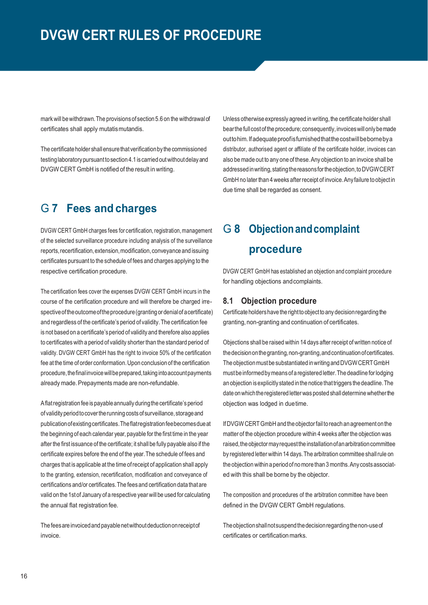mark will be withdrawn. The provisions of section 5.6 on the withdrawal of certificates shall apply mutatismutandis.

The certificate holder shall ensure that verification by the commissioned testing laboratory pursuant to section 4.1 is carried out without delay and DVGWCERT GmbH is notified of the result in writing.

## G **7 Fees and charges**

DVGW CERT GmbH charges fees for certification, registration, management of the selected surveillance procedure including analysis of the surveillance reports, recertification, extension, modification, conveyance and issuing certificates pursuant to the schedule of fees and charges applying to the respective certification procedure.

The certification fees cover the expenses DVGW CERT GmbH incurs in the course of the certification procedure and will therefore be charged irrespective of the outcome of the procedure (granting or denial of a certificate) and regardless of the certificate's period of validity.The certification fee is not based on acertificate'speriod of validityand therefore also applies to certificates with a period of validity shorter than the standard period of validity. DVGW CERT GmbH has the right to invoice 50% of the certification fee atthe time oforder conformation.Upon conclusion of the certification procedure, the final invoice will be prepared, taking into account payments already made. Prepayments made are non-refundable.

Aflatregistration fee ispayableannuallyduringthe certificate'speriod of validity period to cover the running costs of surveillance, storage and publicationofexistingcertificates.Theflatregistrationfeebecomesdueat the beginning of each calendar year, payable for the first time in the year after the first issuance of the certificate; it shall be fully payable also if the certificate expires before the end of the year.The schedule of fees and charges that is applicable at the time ofreceipt of application shall apply to the granting, extension, recertification, modification and conveyance of certifications and/or certificates.The feesand certification data thatare valid on the 1st of January of a respective year will be used for calculating the annual flat registration fee.

The fees are invoiced and payable net without deduction on receipt of invoice.

Unless otherwise expressly agreed in writing, the certificate holder shall bear the full cost of the procedure; consequently, invoices will only be made outtohim. If adequate proof is furnished that the cost will be borne by a distributor, authorised agent or affiliate of the certificate holder, invoices can also be made out to any one of these.Any objection to an invoice shall be addressed in writing, stating the reasons for the objection, to DVGWCERT GmbH no later than 4 weeks afterreceipt of invoice.Any failure toobjectin due time shall be regarded as consent.

# G **8 Objectionandcomplaint procedure**

DVGW CERT GmbH has established an objection and complaint procedure for handling objections and complaints.

#### **8.1 Objection procedure**

Certificate holdershave therighttoobjecttoanydecisionregarding the granting, non-granting and continuation of certificates.

Objections shall be raised within 14 days after receipt of written notice of thedecisiononthegranting,non-granting,andcontinuationofcertificates. The objection must be substantiated in writing and DVGW CERT GmbH mustbe informedbymeansofaregistered letter.The deadline forlodging an objection isexplicitly stated inthenotice thattriggers the deadline.The date on which the registered letter was posted shall determine whether the objection was lodged in duetime.

If DVGW CERT GmbH and the objector fail to reach an agreement on the matter of the objection procedure within 4 weeks after the objection was raised, the objector may request the installation of an arbitration committee by registered letter within14 days.The arbitration committee shallrule on the objection within a period of no more than 3 months. Any costs associated with this shall be borne by the objector.

The composition and procedures of the arbitration committee have been defined in the DVGW CERT GmbH regulations.

Theobjectionshallnotsuspendthedecisionregardingthenon-useof certificates or certification marks.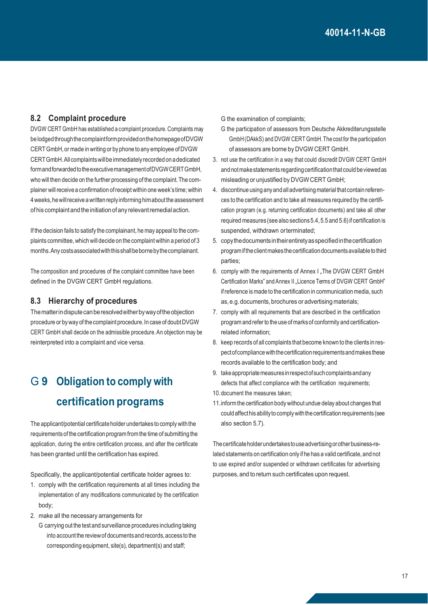#### **8.2 Complaint procedure**

DVGW CERT GmbH has established a complaint procedure. Complaints may be lodgedthroughthecomplaintformprovidedonthehomepageofDVGW CERTGmbH,or made in writing or byphone toany employee ofDVGW CERTGmbH.Allcomplaintswillbeimmediately recorded on adedicated formandforwardedtotheexecutivemanagementofDVGWCERTGmbH, who will then decide on the further processing of the complaint.The complainer will receive a confirmation of receipt within one week's time; within 4weeks,hewillreceive awritten reply informing himabouttheassessment ofhis complaintand theinitiation ofany relevantremedialaction.

If the decision fails to satisfy the complainant, he may appeal to the complaints committee, which will decide on the complaint within a period of 3 months.Any costsassociatedwiththisshallbebornebythecomplainant.

The composition and procedures of the complaint committee have been defined in the DVGW CERT GmbH regulations.

#### **8.3 Hierarchy of procedures**

Thematterindisputecanberesolvedeitherbywayoftheobjection procedure or by way of the complaint procedure. In case of doubt DVGW CERT GmbH shall decide on the admissible procedure.An objection may be reinterpreted into a complaint and vice versa.

# G **9 Obligation to comply with certification programs**

The applicant/potential certificate holder undertakes to comply with the requirementsof the certification program from the time of submitting the application, during the entire certification process, and after the certificate has been granted until the certification has expired.

Specifically, the applicant/potential certificate holder agrees to:

- 1. comply with the certification requirements at all times including the implementation of any modifications communicated by the certification body;
- 2. make all the necessary arrangements for
	- G carrying out the test and surveillance procedures including taking into account the review of documents and records, access to the corresponding equipment, site(s), department(s) and staff;

G the examination of complaints;

- G the participation of assessors from Deutsche Akkrediterungsstelle GmbH(DAkkS) and DVGW CERT GmbH.The cost for the participation of assessors are borne by DVGW CERT GmbH.
- 3. not use the certification in a way that could discredit DVGW CERT GmbH and not make statements regarding certification that could be viewed as misleading or unjustified by DVGWCERT GmbH;
- 4. discontinue using anyand alladvertising material that contain references to the certification and to take all measures required by the certification program (e.g. returning certification documents) and take all other required measures (see also sections5.4,5.5 and 5.6) if certification is suspended, withdrawn orterminated;
- 5. copythedocumentsintheirentiretyasspecifiedinthecertification programiftheclientmakes thecertificationdocumentsavailable tothird parties;
- 6. comply with the requirements of Annex I "The DVGW CERT GmbH Certification Marks" and Annex II "Licence Terms of DVGW CERT GmbH" ifreference is made to the certification in communication media, such as,e.g.documents,brochures or advertising materials;
- 7. comply with all requirements that are described in the certification program and refer to the use of marks of conformity and certificationrelated information;
- 8. keep records of all complaints that become known to the clients in respect of compliance with the certification requirements and makes these records available to the certification body; and
- 9. take appropriate measures in respect of such complaints and any defects that affect compliance with the certification requirements;
- 10.document the measures taken;
- 11.inform the certification body without undue delay about changes that could affecthis ability to comply with the certification requirements (see also section 5.7).

The certificate holder undertakes to use advertising or other business-related statements on certification only if he has a valid certificate, and not to use expired and/or suspended or withdrawn certificates for advertising purposes,and to return such certificates upon request.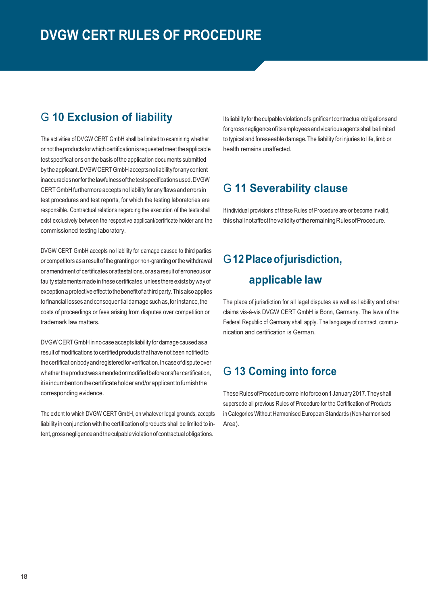### G **10 Exclusion of liability**

The activities of DVGW CERT GmbH shall be limited to examining whether or not the products for which certification is requested meet the applicable test specifications on the basis ofthe application documents submitted by the applicant. DVGW CERT GmbH accepts no liability for any content inaccuraciesnorforthelawfulnessofthetestspecificationsused.DVGW CERTGmbH furthermore accepts no liability for any flawsand errors in test procedures and test reports, for which the testing laboratories are responsible. Contractual relations regarding the execution of the tests shall exist exclusively between the respective applicant/certificate holder and the commissioned testing laboratory.

DVGW CERT GmbH accepts no liability for damage caused to third parties or competitors asaresultof the granting or non-granting orthe withdrawal or amendmentof certificates orattestations, or asa resultoferroneousor faulty statements made in these certificates, unless there exists by way of exception aprotective effecttothebenefitofathird party.Thisalso applies to financial losses and consequential damage such as, for instance, the costs of proceedings or fees arising from disputes over competition or trademark law matters.

DVGWCERTGmbHinno case accepts liability for damage caused asa result of modifications to certified products that have not been notified to thecertificationbodyandregistered forverification.Incaseofdisputeover whether the product was amended or modified before or after certification, itisincumbentonthecertificateholderand/orapplicanttofurnishthe corresponding evidence.

The extent to which DVGW CERT GmbH, on whatever legal grounds, accepts liability in conjunction with the certification of products shall be limited to intent, gross negligence and the culpable violation of contractual obligations.

Itsliabilityfortheculpableviolationofsignificantcontractualobligationsand for gross negligence of its employees and vicarious agents shall be limited to typical and foreseeable damage. The liability for injuries to life, limb or health remains unaffected.

### G **11 Severability clause**

If individual provisions of these Rules of Procedure are or become invalid, thisshallnotaffectthevalidityoftheremainingRulesofProcedure.

# G**12Placeofjurisdiction, applicable law**

The place of jurisdiction for all legal disputes as well as liability and other claims vis-à-vis DVGW CERT GmbH is Bonn, Germany. The laws of the Federal Republic of Germany shall apply. The language of contract, communication and certification is German.

### G **13 Coming into force**

These Rules of Procedure come into force on 1 January 2017. They shall supersede all previous Rules of Procedure for the Certification of Products in Categories Without Harmonised European Standards (Non-harmonised Area).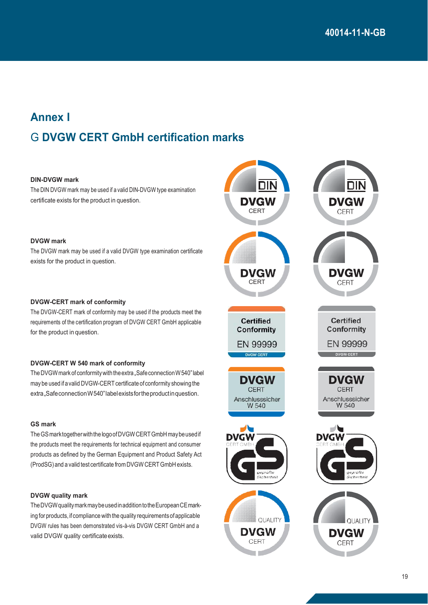# **Annex I** G **DVGW CERT GmbH certification marks**

#### **DIN-DVGW mark**

The DIN DVGW mark may be used if a valid DIN-DVGW type examination certificate exists for the product in question.

#### **DVGW mark**

The DVGW mark may be used if a valid DVGW type examination certificate exists for the product in question.

#### **DVGW-CERT mark of conformity**

The DVGW-CERT mark of conformity may be used if the products meet the requirements of the certification program of DVGW CERT GmbH applicable for the product in question.

#### **DVGW-CERT W 540 mark of conformity**

The DVGW mark of conformity with the extra "Safe connection W 540" label may be used if a valid DVGW-CERT certificate of conformity showing the extra, Safe connection W540" label exists for the productin question.

#### **GS mark**

TheGSmarktogetherwiththelogoofDVGWCERTGmbHmaybeusedif the products meet the requirements for technical equipment and consumer products as defined by the German Equipment and Product Safety Act (ProdSG) and a valid test certificate from DVGW CERTGmbH exists.

#### **DVGW quality mark**

TheDVGWqualitymarkmaybeusedinadditiontotheEuropeanCEmarking for products, if compliance with the quality requirementsofapplicable DVGW rules has been demonstrated vis-à-vis DVGW CERT GmbH and a valid DVGW quality certificate exists.